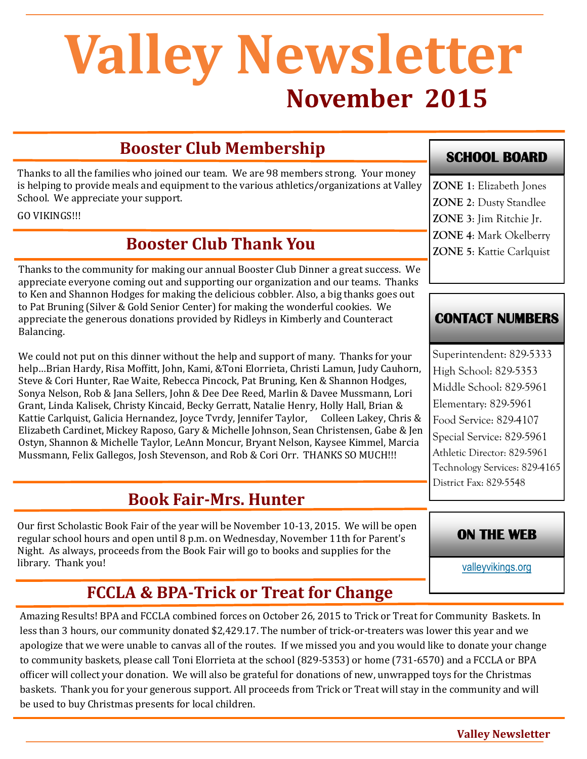# **November 2015 Valley Newsletter**

# **Booster Club Membership**

Thanks to all the families who joined our team. We are 98 members strong. Your money is helping to provide meals and equipment to the various athletics/organizations at Valley School. We appreciate your support.

GO VIKINGS!!!

# **Booster Club Thank You**

Thanks to the community for making our annual Booster Club Dinner a great success. We appreciate everyone coming out and supporting our organization and our teams. Thanks to Ken and Shannon Hodges for making the delicious cobbler. Also, a big thanks goes out to Pat Bruning (Silver & Gold Senior Center) for making the wonderful cookies. We appreciate the generous donations provided by Ridleys in Kimberly and Counteract Balancing.

We could not put on this dinner without the help and support of many. Thanks for your help…Brian Hardy, Risa Moffitt, John, Kami, &Toni Elorrieta, Christi Lamun, Judy Cauhorn, Steve & Cori Hunter, Rae Waite, Rebecca Pincock, Pat Bruning, Ken & Shannon Hodges, Sonya Nelson, Rob & Jana Sellers, John & Dee Dee Reed, Marlin & Davee Mussmann, Lori Grant, Linda Kalisek, Christy Kincaid, Becky Gerratt, Natalie Henry, Holly Hall, Brian & Kattie Carlquist, Galicia Hernandez, Joyce Tvrdy, Jennifer Taylor, Colleen Lakey, Chris & Elizabeth Cardinet, Mickey Raposo, Gary & Michelle Johnson, Sean Christensen, Gabe & Jen Ostyn, Shannon & Michelle Taylor, LeAnn Moncur, Bryant Nelson, Kaysee Kimmel, Marcia Mussmann, Felix Gallegos, Josh Stevenson, and Rob & Cori Orr. THANKS SO MUCH!!!

# **Book Fair-Mrs. Hunter**

Our first Scholastic Book Fair of the year will be November 10-13, 2015. We will be open regular school hours and open until 8 p.m. on Wednesday, November 11th for Parent's Night. As always, proceeds from the Book Fair will go to books and supplies for the library. Thank you!

### **SCHOOL BOARD**

**ZONE 1**: Elizabeth Jones **ZONE 2**: Dusty Standlee **ZONE 3**: Jim Ritchie Jr. **ZONE 4**: Mark Okelberry **ZONE 5**: Kattie Carlquist

#### **CONTACT NUMBERS**

Superintendent: 829-5333 High School: 829-5353 Middle School: 829-5961 Elementary: 829-5961 Food Service: 829-4107 Special Service: 829-5961 Athletic Director: 829-5961 Technology Services: 829-4165 District Fax: 829-5548

#### **ON THE WEB**

[valleyvikings.org](http://www.valleyvikings.org/)

## **FCCLA & BPA-Trick or Treat for Change**

Amazing Results! BPA and FCCLA combined forces on October 26, 2015 to Trick or Treat for Community Baskets. In less than 3 hours, our community donated \$2,429.17. The number of trick-or-treaters was lower this year and we apologize that we were unable to canvas all of the routes. If we missed you and you would like to donate your change to community baskets, please call Toni Elorrieta at the school (829-5353) or home (731-6570) and a FCCLA or BPA officer will collect your donation. We will also be grateful for donations of new, unwrapped toys for the Christmas baskets. Thank you for your generous support. All proceeds from Trick or Treat will stay in the community and will be used to buy Christmas presents for local children.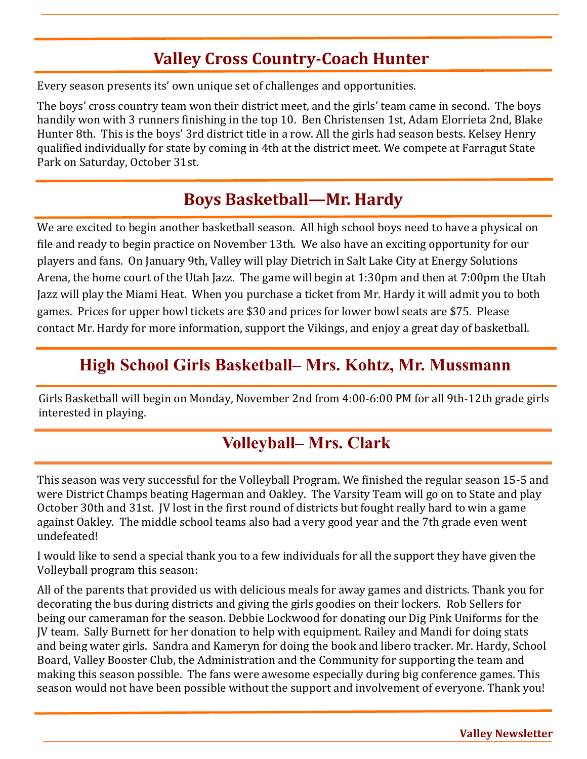# **Valley Cross Country-Coach Hunter**

Every season presents its' own unique set of challenges and opportunities.

The boys' cross country team won their district meet, and the girls' team came in second. The boys handily won with 3 runners finishing in the top 10. Ben Christensen 1st, Adam Elorrieta 2nd, Blake Hunter 8th. This is the boys' 3rd district title in a row. All the girls had season bests. Kelsey Henry qualified individually for state by coming in 4th at the district meet. We compete at Farragut State Park on Saturday, October 31st.

# **Boys Basketball—Mr. Hardy**

We are excited to begin another basketball season. All high school boys need to have a physical on file and ready to begin practice on November 13th. We also have an exciting opportunity for our players and fans. On January 9th, Valley will play Dietrich in Salt Lake City at Energy Solutions Arena, the home court of the Utah Jazz. The game will begin at 1:30pm and then at 7:00pm the Utah Jazz will play the Miami Heat. When you purchase a ticket from Mr. Hardy it will admit you to both games. Prices for upper bowl tickets are \$30 and prices for lower bowl seats are \$75. Please contact Mr. Hardy for more information, support the Vikings, and enjoy a great day of basketball.

## **High School Girls Basketball– Mrs. Kohtz, Mr. Mussmann**

Girls Basketball will begin on Monday, November 2nd from 4:00-6:00 PM for all 9th-12th grade girls interested in playing.

# **Volleyball– Mrs. Clark**

This season was very successful for the Volleyball Program. We finished the regular season 15-5 and were District Champs beating Hagerman and Oakley. The Varsity Team will go on to State and play October 30th and 31st. JV lost in the first round of districts but fought really hard to win a game against Oakley. The middle school teams also had a very good year and the 7th grade even went undefeated!

I would like to send a special thank you to a few individuals for all the support they have given the Volleyball program this season:

All of the parents that provided us with delicious meals for away games and districts. Thank you for decorating the bus during districts and giving the girls goodies on their lockers. Rob Sellers for being our cameraman for the season. Debbie Lockwood for donating our Dig Pink Uniforms for the JV team. Sally Burnett for her donation to help with equipment. Railey and Mandi for doing stats and being water girls. Sandra and Kameryn for doing the book and libero tracker. Mr. Hardy, School Board, Valley Booster Club, the Administration and the Community for supporting the team and making this season possible. The fans were awesome especially during big conference games. This season would not have been possible without the support and involvement of everyone. Thank you!